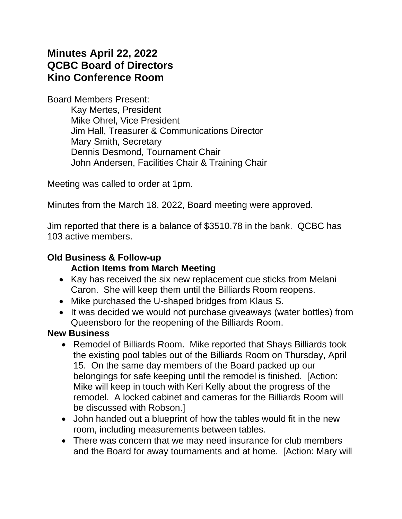# **Minutes April 22, 2022 QCBC Board of Directors Kino Conference Room**

Board Members Present:

Kay Mertes, President Mike Ohrel, Vice President Jim Hall, Treasurer & Communications Director Mary Smith, Secretary Dennis Desmond, Tournament Chair John Andersen, Facilities Chair & Training Chair

Meeting was called to order at 1pm.

Minutes from the March 18, 2022, Board meeting were approved.

Jim reported that there is a balance of \$3510.78 in the bank. QCBC has 103 active members.

### **Old Business & Follow-up**

#### **Action Items from March Meeting**

- Kay has received the six new replacement cue sticks from Melani Caron. She will keep them until the Billiards Room reopens.
- Mike purchased the U-shaped bridges from Klaus S.
- It was decided we would not purchase giveaways (water bottles) from Queensboro for the reopening of the Billiards Room.

#### **New Business**

- Remodel of Billiards Room. Mike reported that Shays Billiards took the existing pool tables out of the Billiards Room on Thursday, April 15. On the same day members of the Board packed up our belongings for safe keeping until the remodel is finished. [Action: Mike will keep in touch with Keri Kelly about the progress of the remodel. A locked cabinet and cameras for the Billiards Room will be discussed with Robson.]
- John handed out a blueprint of how the tables would fit in the new room, including measurements between tables.
- There was concern that we may need insurance for club members and the Board for away tournaments and at home. [Action: Mary will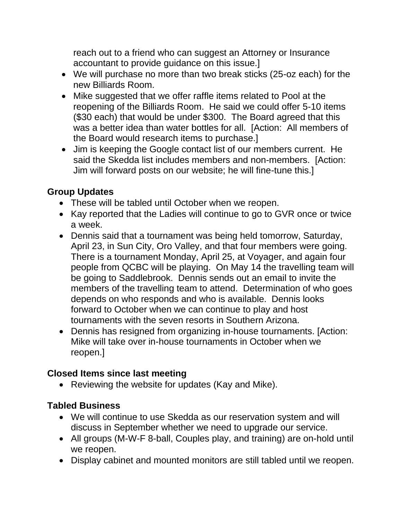reach out to a friend who can suggest an Attorney or Insurance accountant to provide guidance on this issue.]

- We will purchase no more than two break sticks (25-oz each) for the new Billiards Room.
- Mike suggested that we offer raffle items related to Pool at the reopening of the Billiards Room. He said we could offer 5-10 items (\$30 each) that would be under \$300. The Board agreed that this was a better idea than water bottles for all. [Action: All members of the Board would research items to purchase.]
- Jim is keeping the Google contact list of our members current. He said the Skedda list includes members and non-members. [Action: Jim will forward posts on our website; he will fine-tune this.]

## **Group Updates**

- These will be tabled until October when we reopen.
- Kay reported that the Ladies will continue to go to GVR once or twice a week.
- Dennis said that a tournament was being held tomorrow, Saturday, April 23, in Sun City, Oro Valley, and that four members were going. There is a tournament Monday, April 25, at Voyager, and again four people from QCBC will be playing. On May 14 the travelling team will be going to Saddlebrook. Dennis sends out an email to invite the members of the travelling team to attend. Determination of who goes depends on who responds and who is available. Dennis looks forward to October when we can continue to play and host tournaments with the seven resorts in Southern Arizona.
- Dennis has resigned from organizing in-house tournaments. [Action: Mike will take over in-house tournaments in October when we reopen.]

#### **Closed Items since last meeting**

• Reviewing the website for updates (Kay and Mike).

#### **Tabled Business**

- We will continue to use Skedda as our reservation system and will discuss in September whether we need to upgrade our service.
- All groups (M-W-F 8-ball, Couples play, and training) are on-hold until we reopen.
- Display cabinet and mounted monitors are still tabled until we reopen.